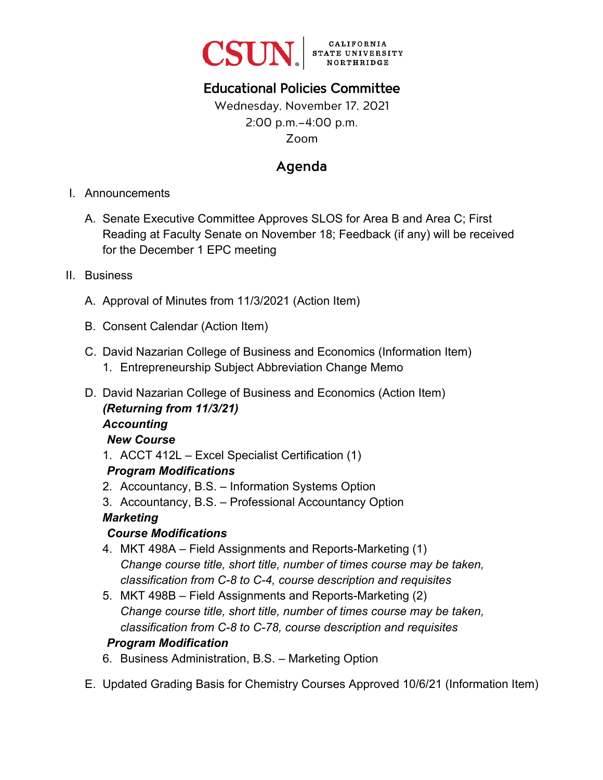

# Educational Policies Committee

# Wednesday, November 17, 2021 2:00 p.m.–4:00 p.m. Zoom

# Agenda

- I. Announcements
	- A. Senate Executive Committee Approves SLOS for Area B and Area C; First Reading at Faculty Senate on November 18; Feedback (if any) will be received for the December 1 EPC meeting
- II. Business
	- A. Approval of Minutes from 11/3/2021 (Action Item)
	- B. Consent Calendar (Action Item)
	- C. David Nazarian College of Business and Economics (Information Item)
		- 1. Entrepreneurship Subject Abbreviation Change Memo
	- D. David Nazarian College of Business and Economics (Action Item) *(Returning from 11/3/21) Accounting*

### *New Course*

1. ACCT 412L – Excel Specialist Certification (1)

### *Program Modifications*

- 2. Accountancy, B.S. Information Systems Option
- 3. Accountancy, B.S. Professional Accountancy Option

# *Marketing*

# *Course Modifications*

- 4. MKT 498A Field Assignments and Reports-Marketing (1) *Change course title, short title, number of times course may be taken, classification from C-8 to C-4, course description and requisites*
- 5. MKT 498B Field Assignments and Reports-Marketing (2) *Change course title, short title, number of times course may be taken, classification from C-8 to C-78, course description and requisites*

# *Program Modification*

- 6. Business Administration, B.S. Marketing Option
- E. Updated Grading Basis for Chemistry Courses Approved 10/6/21 (Information Item)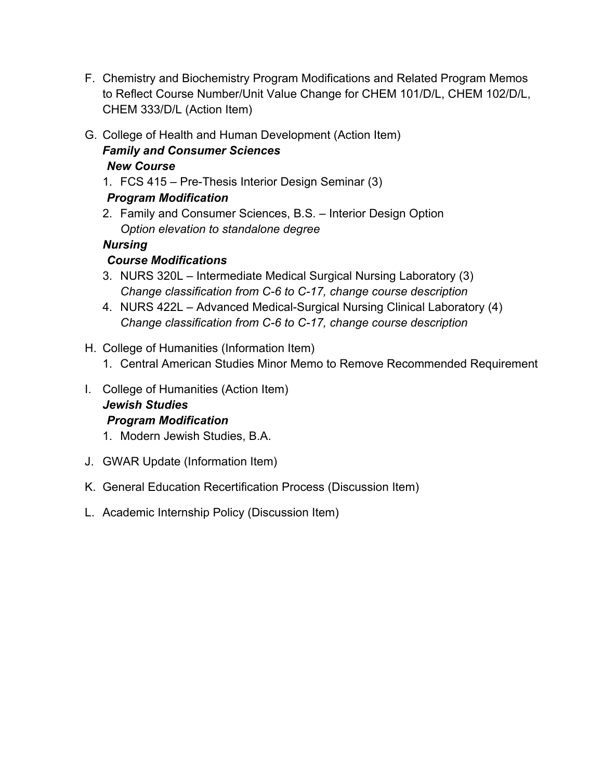- F. Chemistry and Biochemistry Program Modifications and Related Program Memos to Reflect Course Number/Unit Value Change for CHEM 101/D/L, CHEM 102/D/L, CHEM 333/D/L (Action Item)
- G. College of Health and Human Development (Action Item)

#### *Family and Consumer Sciences New Course*

1. FCS 415 – Pre-Thesis Interior Design Seminar (3)

## *Program Modification*

2. Family and Consumer Sciences, B.S. – Interior Design Option *Option elevation to standalone degree*

## *Nursing*

# *Course Modifications*

- 3. NURS 320L Intermediate Medical Surgical Nursing Laboratory (3) *Change classification from C-6 to C-17, change course description*
- 4. NURS 422L Advanced Medical-Surgical Nursing Clinical Laboratory (4) *Change classification from C-6 to C-17, change course description*
- H. College of Humanities (Information Item)
	- 1. Central American Studies Minor Memo to Remove Recommended Requirement
- I. College of Humanities (Action Item)

#### *Jewish Studies Program Modification*

- 1. Modern Jewish Studies, B.A.
- J. GWAR Update (Information Item)
- K. General Education Recertification Process (Discussion Item)
- L. Academic Internship Policy (Discussion Item)